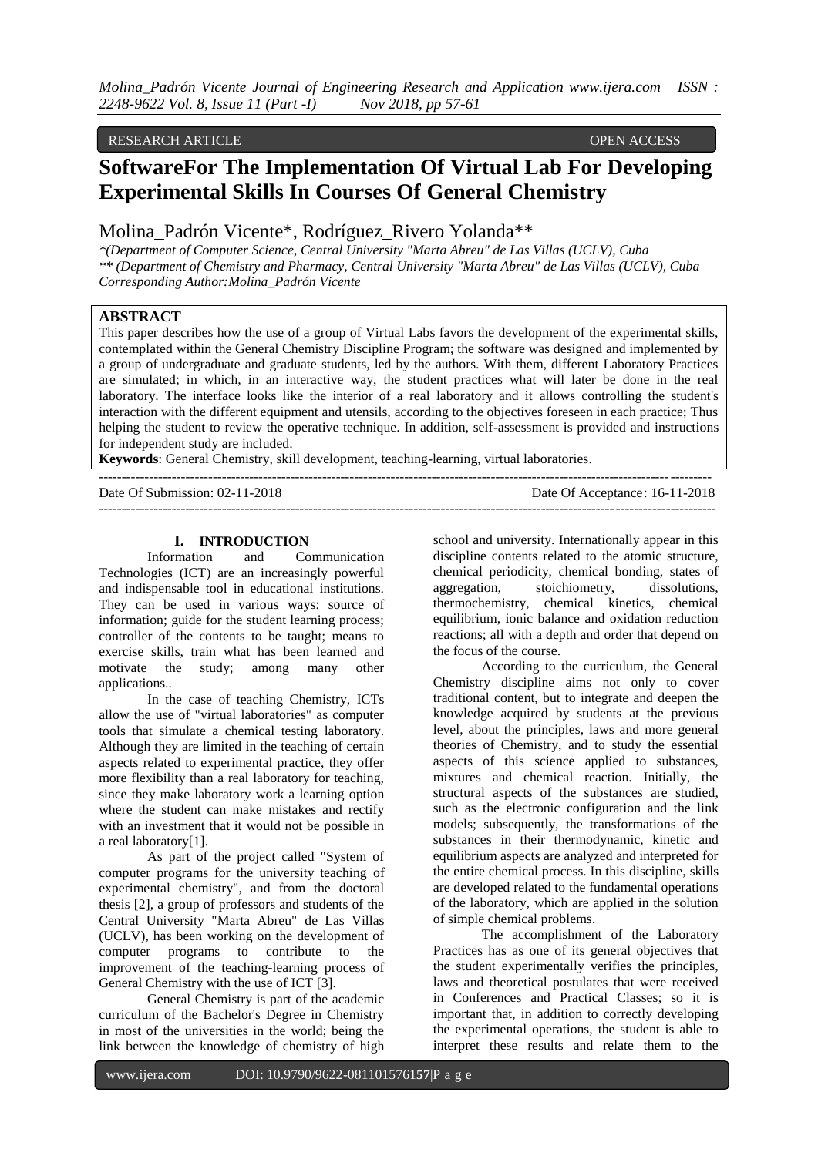### RESEARCH ARTICLE **CONSERVERS** OPEN ACCESS OPEN ACCESS

# **SoftwareFor The Implementation Of Virtual Lab For Developing Experimental Skills In Courses Of General Chemistry**

Molina\_Padrón Vicente\*, Rodríguez\_Rivero Yolanda\*\*

*\*(Department of Computer Science, Central University "Marta Abreu" de Las Villas (UCLV), Cuba \*\* (Department of Chemistry and Pharmacy, Central University "Marta Abreu" de Las Villas (UCLV), Cuba Corresponding Author:Molina\_Padrón Vicente*

# **ABSTRACT**

This paper describes how the use of a group of Virtual Labs favors the development of the experimental skills, contemplated within the General Chemistry Discipline Program; the software was designed and implemented by a group of undergraduate and graduate students, led by the authors. With them, different Laboratory Practices are simulated; in which, in an interactive way, the student practices what will later be done in the real laboratory. The interface looks like the interior of a real laboratory and it allows controlling the student's interaction with the different equipment and utensils, according to the objectives foreseen in each practice; Thus helping the student to review the operative technique. In addition, self-assessment is provided and instructions for independent study are included.

**Keywords**: General Chemistry, skill development, teaching-learning, virtual laboratories.

Date Of Submission: 02-11-2018 Date Of Acceptance: 16-11-2018  $-1-\frac{1}{2}$ 

#### **I. INTRODUCTION**

Information and Communication Technologies (ICT) are an increasingly powerful and indispensable tool in educational institutions. They can be used in various ways: source of information; guide for the student learning process; controller of the contents to be taught; means to exercise skills, train what has been learned and motivate the study; among many other applications..

In the case of teaching Chemistry, ICTs allow the use of "virtual laboratories" as computer tools that simulate a chemical testing laboratory. Although they are limited in the teaching of certain aspects related to experimental practice, they offer more flexibility than a real laboratory for teaching, since they make laboratory work a learning option where the student can make mistakes and rectify with an investment that it would not be possible in a real laboratory[1].

As part of the project called "System of computer programs for the university teaching of experimental chemistry", and from the doctoral thesis [2], a group of professors and students of the Central University "Marta Abreu" de Las Villas (UCLV), has been working on the development of computer programs to contribute to the improvement of the teaching-learning process of General Chemistry with the use of ICT [3].

General Chemistry is part of the academic curriculum of the Bachelor's Degree in Chemistry in most of the universities in the world; being the link between the knowledge of chemistry of high school and university. Internationally appear in this discipline contents related to the atomic structure, chemical periodicity, chemical bonding, states of aggregation, stoichiometry, dissolutions, thermochemistry, chemical kinetics, chemical equilibrium, ionic balance and oxidation reduction reactions; all with a depth and order that depend on the focus of the course.

According to the curriculum, the General Chemistry discipline aims not only to cover traditional content, but to integrate and deepen the knowledge acquired by students at the previous level, about the principles, laws and more general theories of Chemistry, and to study the essential aspects of this science applied to substances, mixtures and chemical reaction. Initially, the structural aspects of the substances are studied, such as the electronic configuration and the link models; subsequently, the transformations of the substances in their thermodynamic, kinetic and equilibrium aspects are analyzed and interpreted for the entire chemical process. In this discipline, skills are developed related to the fundamental operations of the laboratory, which are applied in the solution of simple chemical problems.

The accomplishment of the Laboratory Practices has as one of its general objectives that the student experimentally verifies the principles, laws and theoretical postulates that were received in Conferences and Practical Classes; so it is important that, in addition to correctly developing the experimental operations, the student is able to interpret these results and relate them to the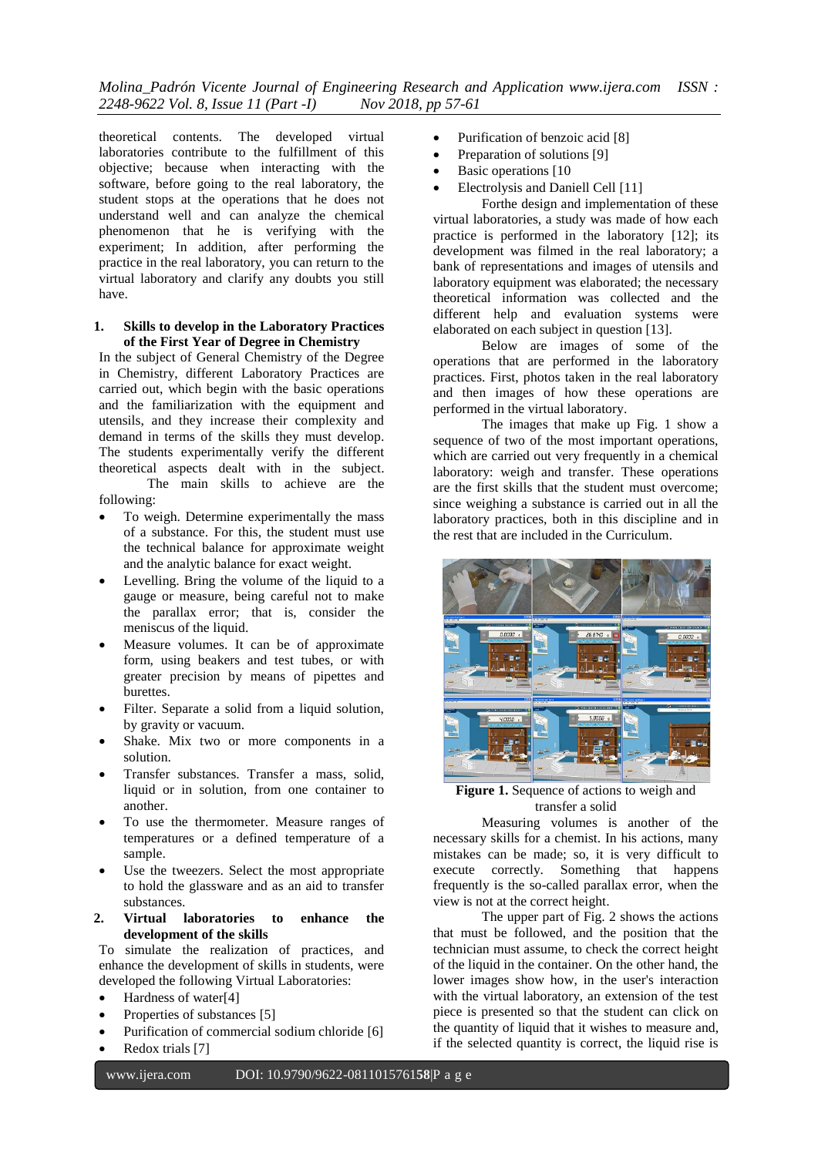theoretical contents. The developed virtual laboratories contribute to the fulfillment of this objective; because when interacting with the software, before going to the real laboratory, the student stops at the operations that he does not understand well and can analyze the chemical phenomenon that he is verifying with the experiment; In addition, after performing the practice in the real laboratory, you can return to the virtual laboratory and clarify any doubts you still have.

#### **1. Skills to develop in the Laboratory Practices of the First Year of Degree in Chemistry**

In the subject of General Chemistry of the Degree in Chemistry, different Laboratory Practices are carried out, which begin with the basic operations and the familiarization with the equipment and utensils, and they increase their complexity and demand in terms of the skills they must develop. The students experimentally verify the different theoretical aspects dealt with in the subject. The main skills to achieve are the

following:

- To weigh. Determine experimentally the mass of a substance. For this, the student must use the technical balance for approximate weight and the analytic balance for exact weight.
- Levelling. Bring the volume of the liquid to a gauge or measure, being careful not to make the parallax error; that is, consider the meniscus of the liquid.
- Measure volumes. It can be of approximate form, using beakers and test tubes, or with greater precision by means of pipettes and burettes.
- Filter. Separate a solid from a liquid solution, by gravity or vacuum.
- Shake. Mix two or more components in a solution.
- Transfer substances. Transfer a mass, solid, liquid or in solution, from one container to another.
- To use the thermometer. Measure ranges of temperatures or a defined temperature of a sample.
- Use the tweezers. Select the most appropriate to hold the glassware and as an aid to transfer substances.
- **2. Virtual laboratories to enhance the development of the skills**

To simulate the realization of practices, and enhance the development of skills in students, were developed the following Virtual Laboratories:

- Hardness of water[4]
- Properties of substances [5]
- Purification of commercial sodium chloride [6]
- Redox trials [7]
- Purification of benzoic acid [8]
- Preparation of solutions [9]
- Basic operations [10
- Electrolysis and Daniell Cell [11]

Forthe design and implementation of these virtual laboratories, a study was made of how each practice is performed in the laboratory [12]; its development was filmed in the real laboratory; a bank of representations and images of utensils and laboratory equipment was elaborated; the necessary theoretical information was collected and the different help and evaluation systems were elaborated on each subject in question [13].

Below are images of some of the operations that are performed in the laboratory practices. First, photos taken in the real laboratory and then images of how these operations are performed in the virtual laboratory.

The images that make up Fig. 1 show a sequence of two of the most important operations, which are carried out very frequently in a chemical laboratory: weigh and transfer. These operations are the first skills that the student must overcome; since weighing a substance is carried out in all the laboratory practices, both in this discipline and in the rest that are included in the Curriculum.



**Figure 1.** Sequence of actions to weigh and transfer a solid

Measuring volumes is another of the necessary skills for a chemist. In his actions, many mistakes can be made; so, it is very difficult to execute correctly. Something that happens frequently is the so-called parallax error, when the view is not at the correct height.

The upper part of Fig. 2 shows the actions that must be followed, and the position that the technician must assume, to check the correct height of the liquid in the container. On the other hand, the lower images show how, in the user's interaction with the virtual laboratory, an extension of the test piece is presented so that the student can click on the quantity of liquid that it wishes to measure and, if the selected quantity is correct, the liquid rise is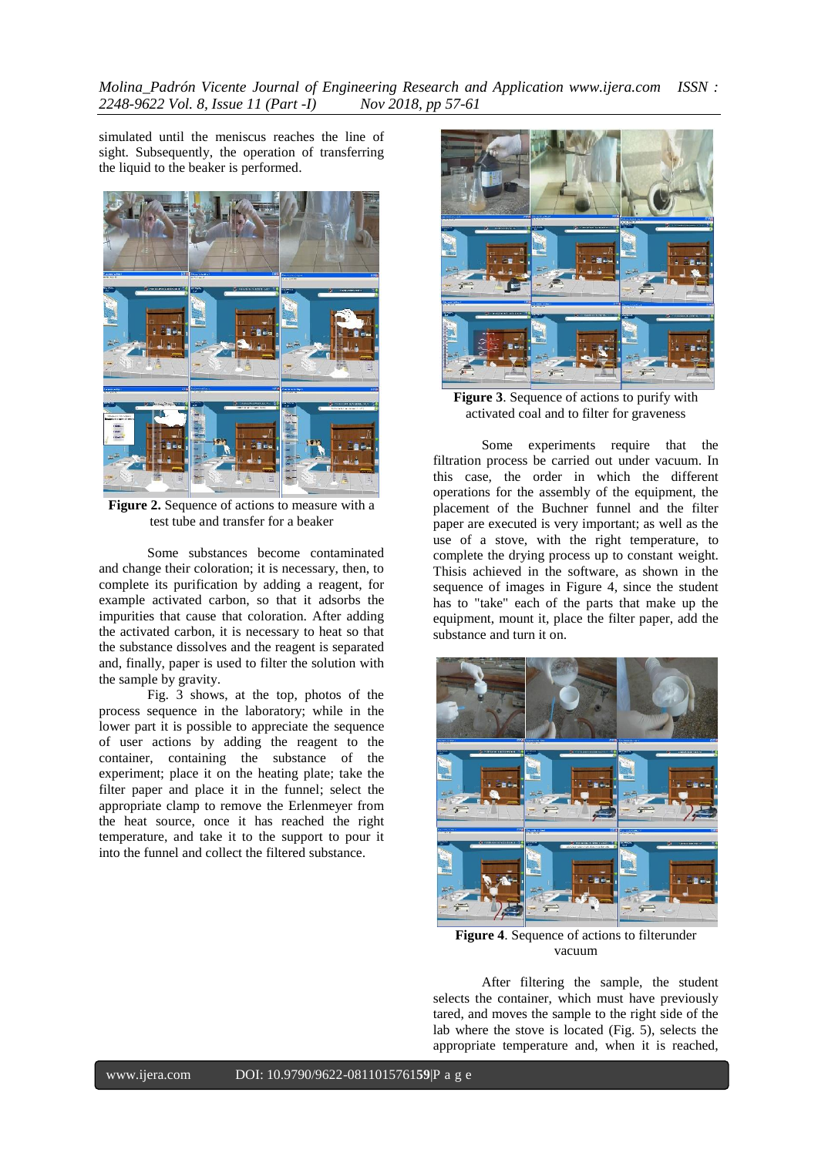*Molina\_Padrón Vicente Journal of Engineering Research and Application www.ijera.com ISSN : 2248-9622 Vol. 8, Issue 11 (Part -I) Nov 2018, pp 57-61*

simulated until the meniscus reaches the line of sight. Subsequently, the operation of transferring the liquid to the beaker is performed.



**Figure 2.** Sequence of actions to measure with a test tube and transfer for a beaker

Some substances become contaminated and change their coloration; it is necessary, then, to complete its purification by adding a reagent, for example activated carbon, so that it adsorbs the impurities that cause that coloration. After adding the activated carbon, it is necessary to heat so that the substance dissolves and the reagent is separated and, finally, paper is used to filter the solution with the sample by gravity.

Fig. 3 shows, at the top, photos of the process sequence in the laboratory; while in the lower part it is possible to appreciate the sequence of user actions by adding the reagent to the container, containing the substance of the experiment; place it on the heating plate; take the filter paper and place it in the funnel; select the appropriate clamp to remove the Erlenmeyer from the heat source, once it has reached the right temperature, and take it to the support to pour it into the funnel and collect the filtered substance.



**Figure 3**. Sequence of actions to purify with activated coal and to filter for graveness

Some experiments require that the filtration process be carried out under vacuum. In this case, the order in which the different operations for the assembly of the equipment, the placement of the Buchner funnel and the filter paper are executed is very important; as well as the use of a stove, with the right temperature, to complete the drying process up to constant weight. Thisis achieved in the software, as shown in the sequence of images in Figure 4, since the student has to "take" each of the parts that make up the equipment, mount it, place the filter paper, add the substance and turn it on.



**Figure 4**. Sequence of actions to filterunder vacuum

After filtering the sample, the student selects the container, which must have previously tared, and moves the sample to the right side of the lab where the stove is located (Fig. 5), selects the appropriate temperature and, when it is reached,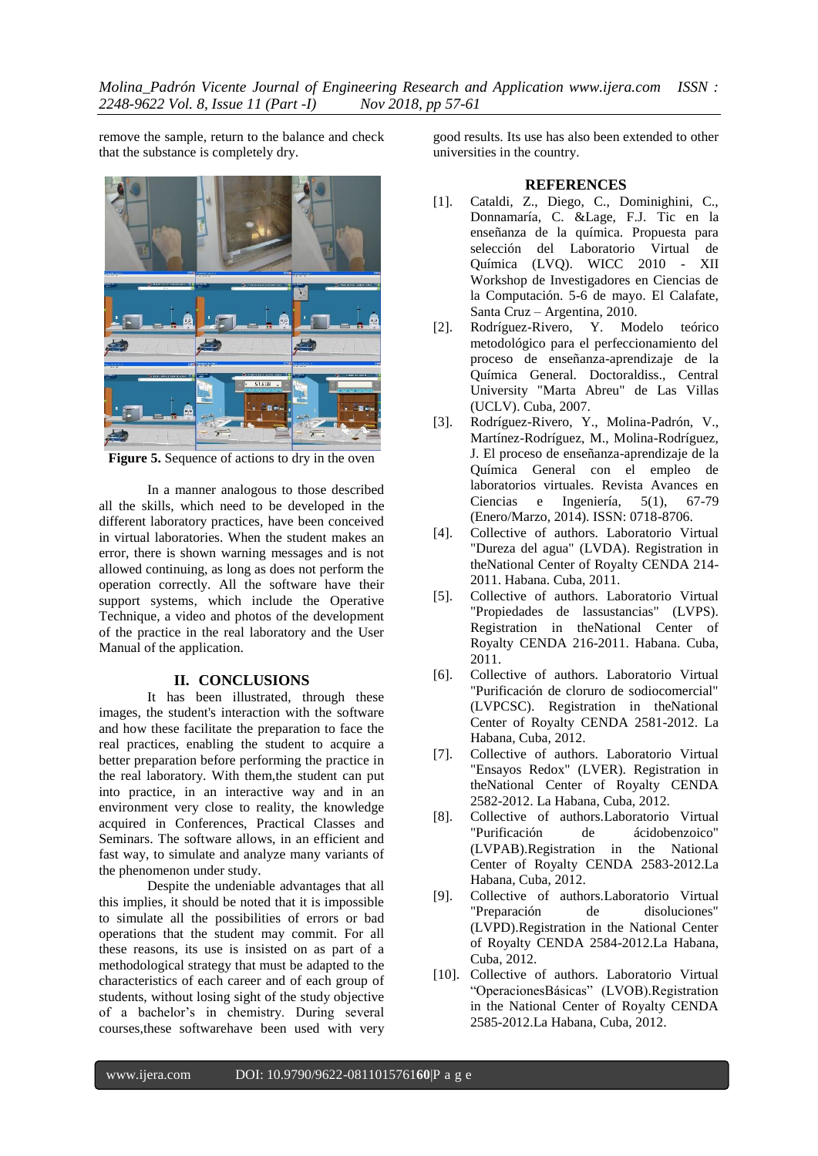remove the sample, return to the balance and check that the substance is completely dry.



**Figure 5.** Sequence of actions to dry in the oven

In a manner analogous to those described all the skills, which need to be developed in the different laboratory practices, have been conceived in virtual laboratories. When the student makes an error, there is shown warning messages and is not allowed continuing, as long as does not perform the operation correctly. All the software have their support systems, which include the Operative Technique, a video and photos of the development of the practice in the real laboratory and the User Manual of the application.

#### **II. CONCLUSIONS**

It has been illustrated, through these images, the student's interaction with the software and how these facilitate the preparation to face the real practices, enabling the student to acquire a better preparation before performing the practice in the real laboratory. With them,the student can put into practice, in an interactive way and in an environment very close to reality, the knowledge acquired in Conferences, Practical Classes and Seminars. The software allows, in an efficient and fast way, to simulate and analyze many variants of the phenomenon under study.

Despite the undeniable advantages that all this implies, it should be noted that it is impossible to simulate all the possibilities of errors or bad operations that the student may commit. For all these reasons, its use is insisted on as part of a methodological strategy that must be adapted to the characteristics of each career and of each group of students, without losing sight of the study objective of a bachelor's in chemistry. During several courses,these softwarehave been used with very

good results. Its use has also been extended to other universities in the country.

# **REFERENCES**

- [1]. Cataldi, Z., Diego, C., Dominighini, C., Donnamaría, C. &Lage, F.J. Tic en la enseñanza de la química. Propuesta para selección del Laboratorio Virtual de Química (LVQ). WICC 2010 - XII Workshop de Investigadores en Ciencias de la Computación. 5-6 de mayo. El Calafate, Santa Cruz – Argentina, 2010.
- [2]. Rodríguez-Rivero, Y. Modelo teórico metodológico para el perfeccionamiento del proceso de enseñanza-aprendizaje de la Química General. Doctoraldiss., Central University "Marta Abreu" de Las Villas (UCLV). Cuba, 2007.
- [3]. Rodríguez-Rivero, Y., Molina-Padrón, V., Martínez-Rodríguez, M., Molina-Rodríguez, J. El proceso de enseñanza-aprendizaje de la Química General con el empleo de laboratorios virtuales. Revista Avances en Ciencias e Ingeniería, 5(1), 67-79 (Enero/Marzo, 2014). ISSN: 0718-8706.
- [4]. Collective of authors. Laboratorio Virtual "Dureza del agua" (LVDA). Registration in theNational Center of Royalty CENDA 214- 2011. Habana. Cuba, 2011.
- [5]. Collective of authors. Laboratorio Virtual "Propiedades de lassustancias" (LVPS). Registration in theNational Center of Royalty CENDA 216-2011. Habana. Cuba, 2011.
- [6]. Collective of authors. Laboratorio Virtual "Purificación de cloruro de sodiocomercial" (LVPCSC). Registration in theNational Center of Royalty CENDA 2581-2012. La Habana, Cuba, 2012.
- [7]. Collective of authors. Laboratorio Virtual "Ensayos Redox" (LVER). Registration in theNational Center of Royalty CENDA 2582-2012. La Habana, Cuba, 2012.
- [8]. Collective of authors.Laboratorio Virtual ácidobenzoico" (LVPAB).Registration in the National Center of Royalty CENDA 2583-2012.La Habana, Cuba, 2012.
- [9]. Collective of authors.Laboratorio Virtual "Preparación de disoluciones" (LVPD).Registration in the National Center of Royalty CENDA 2584-2012.La Habana, Cuba, 2012.
- [10]. Collective of authors. Laboratorio Virtual "OperacionesBásicas" (LVOB).Registration in the National Center of Royalty CENDA 2585-2012.La Habana, Cuba, 2012.